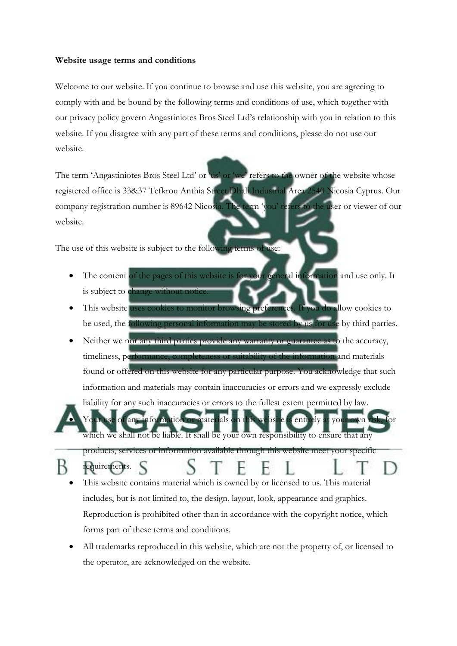## **Website usage terms and conditions**

requirements.

К

Welcome to our website. If you continue to browse and use this website, you are agreeing to comply with and be bound by the following terms and conditions of use, which together with our privacy policy govern Angastiniotes Bros Steel Ltd's relationship with you in relation to this website. If you disagree with any part of these terms and conditions, please do not use our website.

The term 'Angastiniotes Bros Steel Ltd' or 'us' or 'we' refers to the owner of the website whose registered office is 33&37 Tefkrou Anthia Street Dhali Industrial Area 2540 Nicosia Cyprus. Our company registration number is 89642 Nicosia. The term 'you' refers to the user or viewer of our website.

The use of this website is subject to the following terms of use:

- The content of the pages of this website is for your general information and use only. It is subject to change without
- This website uses cookies to monitor browsing preferences. If you do allow cookies to be used, the following personal information may be stored by us for use by third parties.
- Neither we nor any third parties provide any warranty or guarantee as to the accuracy, timeliness, performance, completeness or suitability of the information and materials found or offered on this website for any particular purpose. You acknowledge that such information and materials may contain inaccuracies or errors and we expressly exclude liability for any such inaccuracies or errors to the fullest extent permitted by law.

Your use of any information or materials on this website is entirely at your own which we shall not be liable. It shall be your own responsibility to ensure that any

products, services or information available through this website meet your specific

- This website contains material which is owned by or licensed to us. This material includes, but is not limited to, the design, layout, look, appearance and graphics. Reproduction is prohibited other than in accordance with the copyright notice, which forms part of these terms and conditions.
- All trademarks reproduced in this website, which are not the property of, or licensed to the operator, are acknowledged on the website.